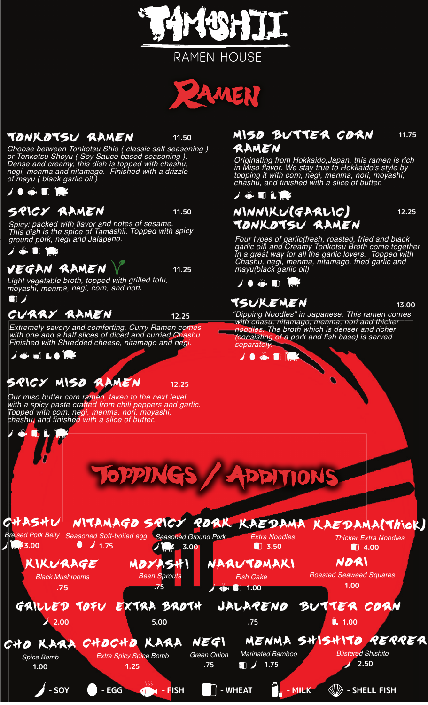



### TONKOTSU RAMEN

*Choose between Tonkotsu Shio ( classic salt seasoning ) or Tonkotsu Shoyu ( Soy Sauce based seasoning ). Dense and creamy, this dish is topped with chashu, negi, menma and nitamago. Finished with a drizzle of mayu ( black garlic oil )*

### $\overline{\phantom{a}}$  . The  $\overline{\phantom{a}}$

### SPICY RAMEN

*Spicy; packed with flavor and notes of sesame. This dish is the spice of Tamashii. Topped with spicy ground pork, negi and Jalapeno.*

### J & D T

### VEGAN RAMEN V 11.25

*Light vegetable broth, topped with grilled tofu, moyashi, menma, negi, corn, and nori.*  $\blacksquare$ 

### CURRY RAMEN

*Extremely savory and comforting. Curry Ramen comes with one and a half slices of diced and curried Chashu. Finished with Shredded cheese, nitamago and negi.*

**/ 3 2 1.0 KM** 

**Di.** 1

Æ

# SPICY MISO RAMEN

*Our miso butter corn ramen, taken to the next level with a spicy paste crafted from chili peppers and garlic. Topped with corn, negi, menma, nori, moyashi, chashu, and finished with a slice of butter.*

#### MISO BUTTER CORN RAMEN 11.75

*Originating from Hokkaido,Japan, this ramen is rich in Miso flavor. We stay true to Hokkaido's style by topping it with corn, negi, menma, nori, moyashi, chashu, and finished with a slice of butter.*

 $\bullet$  0 1.1%

### NINNIKU(GARLIC) TONKOTSU RAMEN

*Four types of garlic(fresh, roasted, fried and black garlic oil) and Creamy Tonkotsu Broth come together in a great way for all the garlic lovers. Topped with Chashu, negi, menma, nitamago, fried garlic and mayu(black garlic oil)* 

**JOS DR** 

### TSUKEMEN 13.00

 $\bullet$ 

12.25

*"Dipping Noodles" in Japanese. This ramen comes with chasu, nitamago, menma, nori and thicker noodles. The broth which is denser and richer (consisting of a pork and fish base) is served*  **proodles.** The proof and its<br>(consisting of a pork and its<br>separately.

 $\bullet$ 



#### CHASHU NITAMAGO SPICY PORK KAEDAMA *Extra Noodles Thicker Extra Noodles* KAEDAMA(Thick)

*Breised Pork Belly Seasoned Soft-boiled egg Seasoned Ground Pork* 5.00 ●  $\overline{\phantom{a}}$ 1.75

*Black Mushrooms* KIKURAGE .75

GRILLED TOFU

 $2.00$ 

*Bean Sprouts* MOYASHI  $.75$ 

EXTRA BROTH

5.00

*Extra Spicy Spice Bomb* CHOCHO KARA

1.25

NARUTOMAKI

3.00

 **40 · FISH 1** · WHEAT **1** · MILK **40 · SHELL FISH** 

.75

*Fish Cake* **1.00** 

 $\blacksquare$ 

 $\blacksquare$  3.50

1.75

NORI  $\blacksquare$  4.00

2.50

*Roasted Seaweed Squares*  $1.00$ 

### JALAPENO BUTTER CORN

 $.75$  $\hat{I}$  1.00 *Green Onion* NEGI *Marinated Bamboo* MENMA SHISHITO *RERRE*R *Blistered Shishito*

*Spice Bomb* 1.00

CHO KARA